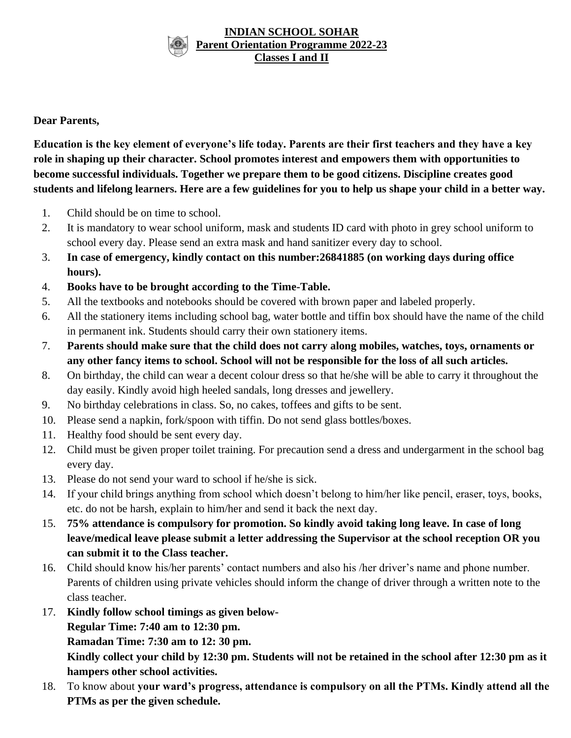#### **INDIAN SCHOOL SOHAR Parent Orientation Programme 2022-23 Classes I and II**

### **Dear Parents,**

**Education is the key element of everyone's life today. Parents are their first teachers and they have a key role in shaping up their character. School promotes interest and empowers them with opportunities to become successful individuals. Together we prepare them to be good citizens. Discipline creates good students and lifelong learners. Here are a few guidelines for you to help us shape your child in a better way.**

- 1. Child should be on time to school.
- 2. It is mandatory to wear school uniform, mask and students ID card with photo in grey school uniform to school every day. Please send an extra mask and hand sanitizer every day to school.
- 3. **In case of emergency, kindly contact on this number:26841885 (on working days during office hours).**
- 4. **Books have to be brought according to the Time-Table.**
- 5. All the textbooks and notebooks should be covered with brown paper and labeled properly.
- 6. All the stationery items including school bag, water bottle and tiffin box should have the name of the child in permanent ink. Students should carry their own stationery items.
- 7. **Parents should make sure that the child does not carry along mobiles, watches, toys, ornaments or any other fancy items to school. School will not be responsible for the loss of all such articles.**
- 8. On birthday, the child can wear a decent colour dress so that he/she will be able to carry it throughout the day easily. Kindly avoid high heeled sandals, long dresses and jewellery.
- 9. No birthday celebrations in class. So, no cakes, toffees and gifts to be sent.
- 10. Please send a napkin, fork/spoon with tiffin. Do not send glass bottles/boxes.
- 11. Healthy food should be sent every day.
- 12. Child must be given proper toilet training. For precaution send a dress and undergarment in the school bag every day.
- 13. Please do not send your ward to school if he/she is sick.
- 14. If your child brings anything from school which doesn't belong to him/her like pencil, eraser, toys, books, etc. do not be harsh, explain to him/her and send it back the next day.
- 15. **75% attendance is compulsory for promotion. So kindly avoid taking long leave. In case of long leave/medical leave please submit a letter addressing the Supervisor at the school reception OR you can submit it to the Class teacher.**
- 16. Child should know his/her parents' contact numbers and also his /her driver's name and phone number. Parents of children using private vehicles should inform the change of driver through a written note to the class teacher.
- 17. **Kindly follow school timings as given below-**

**Regular Time: 7:40 am to 12:30 pm.**

**Ramadan Time: 7:30 am to 12: 30 pm.**

**Kindly collect your child by 12:30 pm. Students will not be retained in the school after 12:30 pm as it hampers other school activities.**

18. To know about **your ward's progress, attendance is compulsory on all the PTMs. Kindly attend all the PTMs as per the given schedule.**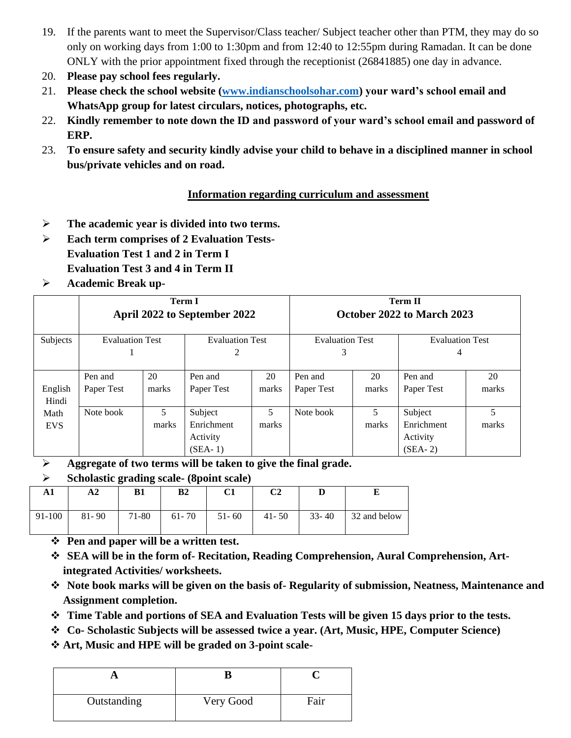- 19. If the parents want to meet the Supervisor/Class teacher/ Subject teacher other than PTM, they may do so only on working days from 1:00 to 1:30pm and from 12:40 to 12:55pm during Ramadan. It can be done ONLY with the prior appointment fixed through the receptionist (26841885) one day in advance.
- 20. **Please pay school fees regularly.**
- 21. **Please check the school website [\(www.indianschoolsohar.com\)](http://www.indianschoolsohar.com/) your ward's school email and WhatsApp group for latest circulars, notices, photographs, etc.**
- 22. **Kindly remember to note down the ID and password of your ward's school email and password of ERP.**
- 23. **To ensure safety and security kindly advise your child to behave in a disciplined manner in school bus/private vehicles and on road.**

# **Information regarding curriculum and assessment**

- ➢ **The academic year is divided into two terms.**
- ➢ **Each term comprises of 2 Evaluation Tests-Evaluation Test 1 and 2 in Term I Evaluation Test 3 and 4 in Term II**
- ➢ **Academic Break up-**

|            | <b>Term I</b><br>April 2022 to September 2022    |       |                        | <b>Term II</b><br>October 2022 to March 2023 |                        |       |            |       |
|------------|--------------------------------------------------|-------|------------------------|----------------------------------------------|------------------------|-------|------------|-------|
| Subjects   | <b>Evaluation Test</b><br><b>Evaluation Test</b> |       | <b>Evaluation Test</b> |                                              | <b>Evaluation Test</b> |       |            |       |
|            |                                                  |       | 2                      |                                              | 3                      |       | 4          |       |
|            | Pen and                                          | 20    | Pen and                | 20                                           | Pen and                | 20    | Pen and    | 20    |
| English    | Paper Test                                       | marks | Paper Test             | marks                                        | Paper Test             | marks | Paper Test | marks |
| Hindi      |                                                  |       |                        |                                              |                        |       |            |       |
| Math       | Note book                                        | 5.    | Subject                | 5                                            | Note book              | 5.    | Subject    | 5     |
| <b>EVS</b> |                                                  | marks | Enrichment             | marks                                        |                        | marks | Enrichment | marks |
|            |                                                  |       | Activity               |                                              |                        |       | Activity   |       |
|            |                                                  |       | $(SEA-1)$              |                                              |                        |       | $(SEA-2)$  |       |

➢ **Aggregate of two terms will be taken to give the final grade.**

# ➢ **Scholastic grading scale- (8point scale)**

| A1     | A2        | B1    | B <sub>2</sub> | C1        | C2        |           |              |
|--------|-----------|-------|----------------|-----------|-----------|-----------|--------------|
| 91-100 | $81 - 90$ | 71-80 | $61 - 70$      | $51 - 60$ | $41 - 50$ | $33 - 40$ | 32 and below |

- ❖ **Pen and paper will be a written test.**
- ❖ **SEA will be in the form of- Recitation, Reading Comprehension, Aural Comprehension, Artintegrated Activities/ worksheets.**
- ❖ **Note book marks will be given on the basis of- Regularity of submission, Neatness, Maintenance and Assignment completion.**
- ❖ **Time Table and portions of SEA and Evaluation Tests will be given 15 days prior to the tests.**
- ❖ **Co- Scholastic Subjects will be assessed twice a year. (Art, Music, HPE, Computer Science)**
- ❖ **Art, Music and HPE will be graded on 3-point scale-**

| Outstanding | Very Good | Fair |
|-------------|-----------|------|